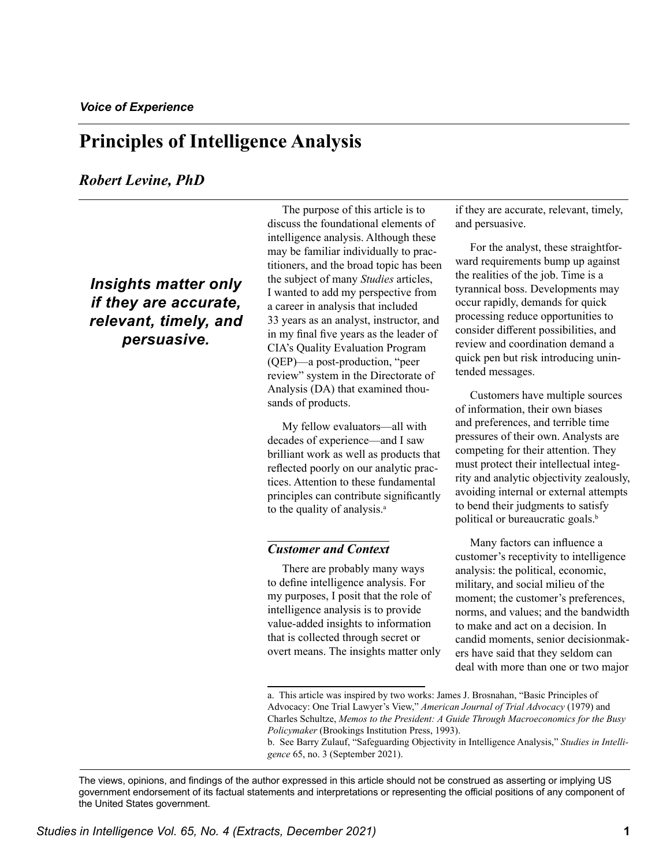# **Principles of Intelligence Analysis**

### *Robert Levine, PhD*

*Insights matter only if they are accurate, relevant, timely, and persuasive.* 

The purpose of this article is to discuss the foundational elements of intelligence analysis. Although these may be familiar individually to practitioners, and the broad topic has been the subject of many *Studies* articles, I wanted to add my perspective from a career in analysis that included 33 years as an analyst, instructor, and in my final five years as the leader of CIA's Quality Evaluation Program (QEP)—a post-production, "peer review" system in the Directorate of Analysis (DA) that examined thousands of products.

My fellow evaluators—all with decades of experience—and I saw brilliant work as well as products that reflected poorly on our analytic practices. Attention to these fundamental principles can contribute significantly to the quality of analysis.<sup>a</sup>

### *Customer and Context*

There are probably many ways to define intelligence analysis. For my purposes, I posit that the role of intelligence analysis is to provide value-added insights to information that is collected through secret or overt means. The insights matter only if they are accurate, relevant, timely, and persuasive.

For the analyst, these straightforward requirements bump up against the realities of the job. Time is a tyrannical boss. Developments may occur rapidly, demands for quick processing reduce opportunities to consider different possibilities, and review and coordination demand a quick pen but risk introducing unintended messages.

Customers have multiple sources of information, their own biases and preferences, and terrible time pressures of their own. Analysts are competing for their attention. They must protect their intellectual integrity and analytic objectivity zealously, avoiding internal or external attempts to bend their judgments to satisfy political or bureaucratic goals.<sup>b</sup>

Many factors can influence a customer's receptivity to intelligence analysis: the political, economic, military, and social milieu of the moment; the customer's preferences, norms, and values; and the bandwidth to make and act on a decision. In candid moments, senior decisionmakers have said that they seldom can deal with more than one or two major

a. This article was inspired by two works: James J. Brosnahan, "Basic Principles of Advocacy: One Trial Lawyer's View," *American Journal of Trial Advocacy* (1979) and Charles Schultze, *Memos to the President: A Guide Through Macroeconomics for the Busy Policymaker* (Brookings Institution Press, 1993).

b. See Barry Zulauf, "Safeguarding Objectivity in Intelligence Analysis," *Studies in Intelligence* 65, no. 3 (September 2021).

The views, opinions, and findings of the author expressed in this article should not be construed as asserting or implying US government endorsement of its factual statements and interpretations or representing the official positions of any component of the United States government.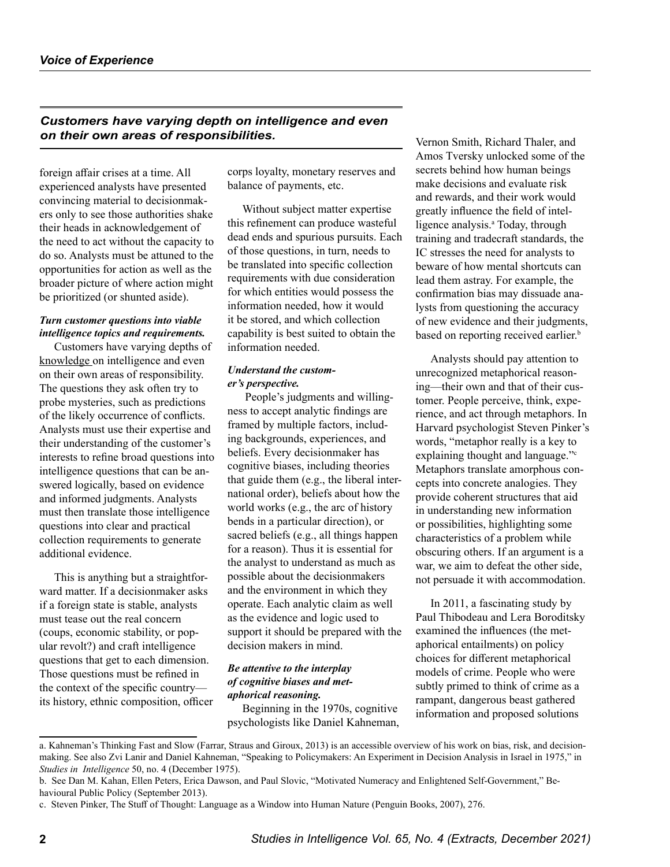*Customers have varying depth on intelligence and even on their own areas of responsibilities.*

foreign affair crises at a time. All experienced analysts have presented convincing material to decisionmakers only to see those authorities shake their heads in acknowledgement of the need to act without the capacity to do so. Analysts must be attuned to the opportunities for action as well as the broader picture of where action might be prioritized (or shunted aside).

#### *Turn customer questions into viable intelligence topics and requirements.*

Customers have varying depths of knowledge on intelligence and even on their own areas of responsibility. The questions they ask often try to probe mysteries, such as predictions of the likely occurrence of conflicts. Analysts must use their expertise and their understanding of the customer's interests to refine broad questions into intelligence questions that can be answered logically, based on evidence and informed judgments. Analysts must then translate those intelligence questions into clear and practical collection requirements to generate additional evidence.

This is anything but a straightforward matter. If a decisionmaker asks if a foreign state is stable, analysts must tease out the real concern (coups, economic stability, or popular revolt?) and craft intelligence questions that get to each dimension. Those questions must be refined in the context of the specific country its history, ethnic composition, officer corps loyalty, monetary reserves and balance of payments, etc.

Without subject matter expertise this refinement can produce wasteful dead ends and spurious pursuits. Each of those questions, in turn, needs to be translated into specific collection requirements with due consideration for which entities would possess the information needed, how it would it be stored, and which collection capability is best suited to obtain the information needed.

#### *Understand the customer's perspective.*

 People's judgments and willingness to accept analytic findings are framed by multiple factors, including backgrounds, experiences, and beliefs. Every decisionmaker has cognitive biases, including theories that guide them (e.g., the liberal international order), beliefs about how the world works (e.g., the arc of history bends in a particular direction), or sacred beliefs (e.g., all things happen for a reason). Thus it is essential for the analyst to understand as much as possible about the decisionmakers and the environment in which they operate. Each analytic claim as well as the evidence and logic used to support it should be prepared with the decision makers in mind.

#### *Be attentive to the interplay of cognitive biases and metaphorical reasoning.*

Beginning in the 1970s, cognitive psychologists like Daniel Kahneman, Vernon Smith, Richard Thaler, and Amos Tversky unlocked some of the secrets behind how human beings make decisions and evaluate risk and rewards, and their work would greatly influence the field of intelligence analysis.<sup>ª</sup> Today, through training and tradecraft standards, the IC stresses the need for analysts to beware of how mental shortcuts can lead them astray. For example, the confirmation bias may dissuade analysts from questioning the accuracy of new evidence and their judgments, based on reporting received earlier.<sup>b</sup>

Analysts should pay attention to unrecognized metaphorical reasoning—their own and that of their customer. People perceive, think, experience, and act through metaphors. In Harvard psychologist Steven Pinker's words, "metaphor really is a key to explaining thought and language."<sup>c</sup> Metaphors translate amorphous concepts into concrete analogies. They provide coherent structures that aid in understanding new information or possibilities, highlighting some characteristics of a problem while obscuring others. If an argument is a war, we aim to defeat the other side, not persuade it with accommodation.

In 2011, a fascinating study by Paul Thibodeau and Lera Boroditsky examined the influences (the metaphorical entailments) on policy choices for different metaphorical models of crime. People who were subtly primed to think of crime as a rampant, dangerous beast gathered information and proposed solutions

a. Kahneman's Thinking Fast and Slow (Farrar, Straus and Giroux, 2013) is an accessible overview of his work on bias, risk, and decisionmaking. See also Zvi Lanir and Daniel Kahneman, "Speaking to Policymakers: An Experiment in Decision Analysis in Israel in 1975," in *Studies in Intelligence* 50, no. 4 (December 1975).

b. See Dan M. Kahan, Ellen Peters, Erica Dawson, and Paul Slovic, "Motivated Numeracy and Enlightened Self-Government," Behavioural Public Policy (September 2013).

c. Steven Pinker, The Stuff of Thought: Language as a Window into Human Nature (Penguin Books, 2007), 276.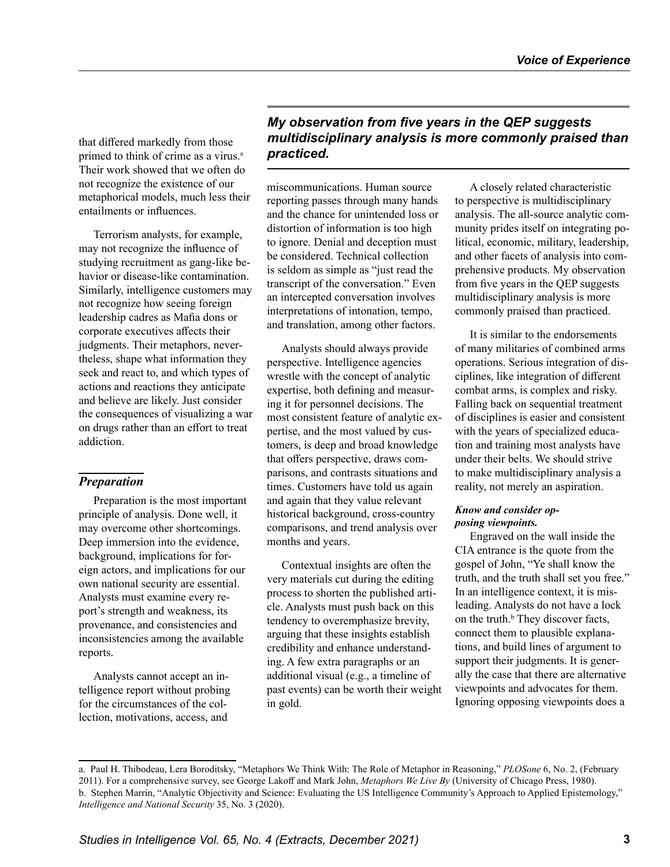that differed markedly from those primed to think of crime as a virus.<sup>a</sup> Their work showed that we often do not recognize the existence of our metaphorical models, much less their entailments or influences.

Terrorism analysts, for example, may not recognize the influence of studying recruitment as gang-like behavior or disease-like contamination. Similarly, intelligence customers may not recognize how seeing foreign leadership cadres as Mafia dons or corporate executives affects their judgments. Their metaphors, nevertheless, shape what information they seek and react to, and which types of actions and reactions they anticipate and believe are likely. Just consider the consequences of visualizing a war on drugs rather than an effort to treat addiction.

### *Preparation*

Preparation is the most important principle of analysis. Done well, it may overcome other shortcomings. Deep immersion into the evidence, background, implications for foreign actors, and implications for our own national security are essential. Analysts must examine every report's strength and weakness, its provenance, and consistencies and inconsistencies among the available reports.

Analysts cannot accept an intelligence report without probing for the circumstances of the collection, motivations, access, and

# *My observation from five years in the QEP suggests multidisciplinary analysis is more commonly praised than practiced.*

miscommunications. Human source reporting passes through many hands and the chance for unintended loss or distortion of information is too high to ignore. Denial and deception must be considered. Technical collection is seldom as simple as "just read the transcript of the conversation." Even an intercepted conversation involves interpretations of intonation, tempo, and translation, among other factors.

Analysts should always provide perspective. Intelligence agencies wrestle with the concept of analytic expertise, both defining and measuring it for personnel decisions. The most consistent feature of analytic expertise, and the most valued by customers, is deep and broad knowledge that offers perspective, draws comparisons, and contrasts situations and times. Customers have told us again and again that they value relevant historical background, cross-country comparisons, and trend analysis over months and years.

Contextual insights are often the very materials cut during the editing process to shorten the published article. Analysts must push back on this tendency to overemphasize brevity, arguing that these insights establish credibility and enhance understanding. A few extra paragraphs or an additional visual (e.g., a timeline of past events) can be worth their weight in gold.

A closely related characteristic to perspective is multidisciplinary analysis. The all-source analytic community prides itself on integrating political, economic, military, leadership, and other facets of analysis into comprehensive products. My observation from five years in the QEP suggests multidisciplinary analysis is more commonly praised than practiced.

It is similar to the endorsements of many militaries of combined arms operations. Serious integration of disciplines, like integration of different combat arms, is complex and risky. Falling back on sequential treatment of disciplines is easier and consistent with the years of specialized education and training most analysts have under their belts. We should strive to make multidisciplinary analysis a reality, not merely an aspiration.

#### *Know and consider opposing viewpoints.*

Engraved on the wall inside the CIA entrance is the quote from the gospel of John, "Ye shall know the truth, and the truth shall set you free." In an intelligence context, it is misleading. Analysts do not have a lock on the truth. $<sup>b</sup>$  They discover facts,</sup> connect them to plausible explanations, and build lines of argument to support their judgments. It is generally the case that there are alternative viewpoints and advocates for them. Ignoring opposing viewpoints does a

a. Paul H. Thibodeau, Lera Boroditsky, "Metaphors We Think With: The Role of Metaphor in Reasoning," *PLOSone* 6, No. 2, (February 2011). For a comprehensive survey, see George Lakoff and Mark John, *Metaphors We Live By* (University of Chicago Press, 1980). b. Stephen Marrin, "Analytic Objectivity and Science: Evaluating the US Intelligence Community's Approach to Applied Epistemology," *Intelligence and National Security* 35, No. 3 (2020).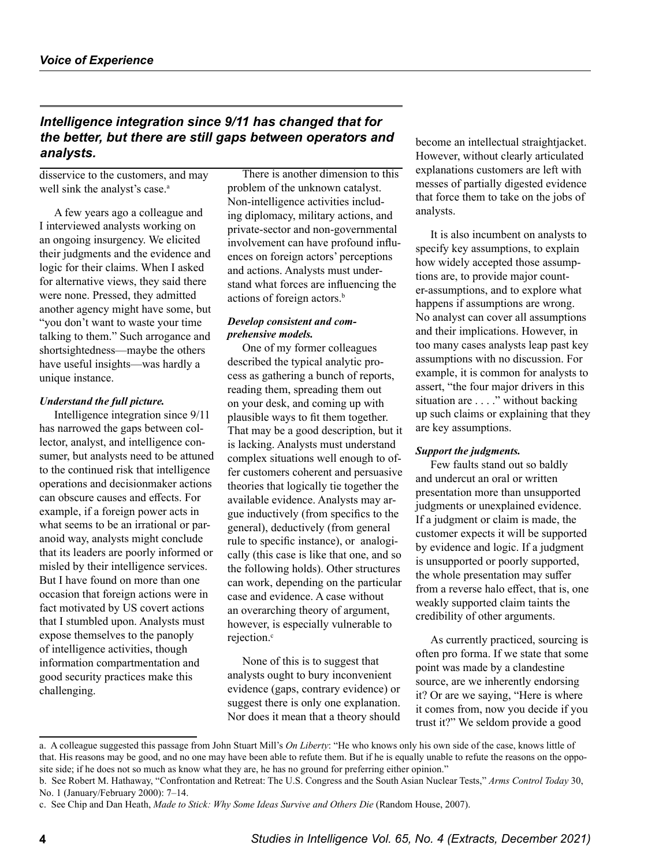# *Intelligence integration since 9/11 has changed that for the better, but there are still gaps between operators and analysts.*

disservice to the customers, and may well sink the analyst's case.<sup>a</sup>

A few years ago a colleague and I interviewed analysts working on an ongoing insurgency. We elicited their judgments and the evidence and logic for their claims. When I asked for alternative views, they said there were none. Pressed, they admitted another agency might have some, but "you don't want to waste your time talking to them." Such arrogance and shortsightedness—maybe the others have useful insights—was hardly a unique instance.

#### *Understand the full picture.*

Intelligence integration since 9/11 has narrowed the gaps between collector, analyst, and intelligence consumer, but analysts need to be attuned to the continued risk that intelligence operations and decisionmaker actions can obscure causes and effects. For example, if a foreign power acts in what seems to be an irrational or paranoid way, analysts might conclude that its leaders are poorly informed or misled by their intelligence services. But I have found on more than one occasion that foreign actions were in fact motivated by US covert actions that I stumbled upon. Analysts must expose themselves to the panoply of intelligence activities, though information compartmentation and good security practices make this challenging.

There is another dimension to this problem of the unknown catalyst. Non-intelligence activities including diplomacy, military actions, and private-sector and non-governmental involvement can have profound influences on foreign actors' perceptions and actions. Analysts must understand what forces are influencing the actions of foreign actors.<sup>b</sup>

#### *Develop consistent and comprehensive models.*

One of my former colleagues described the typical analytic process as gathering a bunch of reports, reading them, spreading them out on your desk, and coming up with plausible ways to fit them together. That may be a good description, but it is lacking. Analysts must understand complex situations well enough to offer customers coherent and persuasive theories that logically tie together the available evidence. Analysts may argue inductively (from specifics to the general), deductively (from general rule to specific instance), or analogically (this case is like that one, and so the following holds). Other structures can work, depending on the particular case and evidence. A case without an overarching theory of argument, however, is especially vulnerable to rejection.<sup>c</sup>

None of this is to suggest that analysts ought to bury inconvenient evidence (gaps, contrary evidence) or suggest there is only one explanation. Nor does it mean that a theory should become an intellectual straightjacket. However, without clearly articulated explanations customers are left with messes of partially digested evidence that force them to take on the jobs of analysts.

It is also incumbent on analysts to specify key assumptions, to explain how widely accepted those assumptions are, to provide major counter-assumptions, and to explore what happens if assumptions are wrong. No analyst can cover all assumptions and their implications. However, in too many cases analysts leap past key assumptions with no discussion. For example, it is common for analysts to assert, "the four major drivers in this situation are . . . ." without backing up such claims or explaining that they are key assumptions.

#### *Support the judgments.*

Few faults stand out so baldly and undercut an oral or written presentation more than unsupported judgments or unexplained evidence. If a judgment or claim is made, the customer expects it will be supported by evidence and logic. If a judgment is unsupported or poorly supported, the whole presentation may suffer from a reverse halo effect, that is, one weakly supported claim taints the credibility of other arguments.

As currently practiced, sourcing is often pro forma. If we state that some point was made by a clandestine source, are we inherently endorsing it? Or are we saying, "Here is where it comes from, now you decide if you trust it?" We seldom provide a good

a. A colleague suggested this passage from John Stuart Mill's *On Liberty*: "He who knows only his own side of the case, knows little of that. His reasons may be good, and no one may have been able to refute them. But if he is equally unable to refute the reasons on the opposite side; if he does not so much as know what they are, he has no ground for preferring either opinion."

b. See Robert M. Hathaway, "Confrontation and Retreat: The U.S. Congress and the South Asian Nuclear Tests," *Arms Control Today* 30, No. 1 (January/February 2000): 7–14.

c. See Chip and Dan Heath, *Made to Stick: Why Some Ideas Survive and Others Die* (Random House, 2007).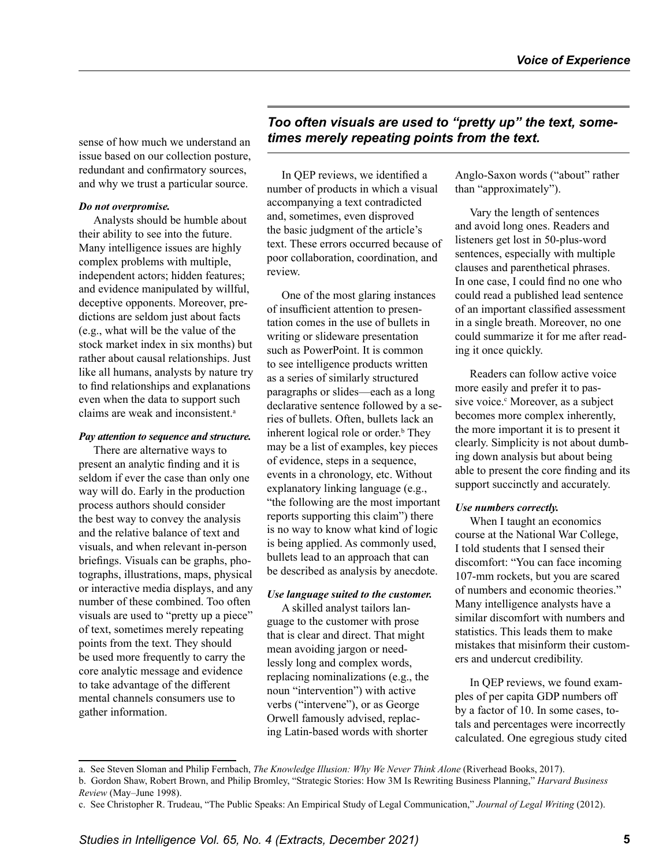sense of how much we understand an issue based on our collection posture, redundant and confirmatory sources, and why we trust a particular source.

#### *Do not overpromise.*

Analysts should be humble about their ability to see into the future. Many intelligence issues are highly complex problems with multiple, independent actors; hidden features; and evidence manipulated by willful, deceptive opponents. Moreover, predictions are seldom just about facts (e.g., what will be the value of the stock market index in six months) but rather about causal relationships. Just like all humans, analysts by nature try to find relationships and explanations even when the data to support such claims are weak and inconsistent.<sup>a</sup>

#### *Pay attention to sequence and structure.*

There are alternative ways to present an analytic finding and it is seldom if ever the case than only one way will do. Early in the production process authors should consider the best way to convey the analysis and the relative balance of text and visuals, and when relevant in-person briefings. Visuals can be graphs, photographs, illustrations, maps, physical or interactive media displays, and any number of these combined. Too often visuals are used to "pretty up a piece" of text, sometimes merely repeating points from the text. They should be used more frequently to carry the core analytic message and evidence to take advantage of the different mental channels consumers use to gather information.

# *Too often visuals are used to "pretty up" the text, sometimes merely repeating points from the text.*

In QEP reviews, we identified a number of products in which a visual accompanying a text contradicted and, sometimes, even disproved the basic judgment of the article's text. These errors occurred because of poor collaboration, coordination, and review.

One of the most glaring instances of insufficient attention to presentation comes in the use of bullets in writing or slideware presentation such as PowerPoint. It is common to see intelligence products written as a series of similarly structured paragraphs or slides—each as a long declarative sentence followed by a series of bullets. Often, bullets lack an inherent logical role or order.<sup>b</sup> They may be a list of examples, key pieces of evidence, steps in a sequence, events in a chronology, etc. Without explanatory linking language (e.g., "the following are the most important reports supporting this claim") there is no way to know what kind of logic is being applied. As commonly used, bullets lead to an approach that can be described as analysis by anecdote.

#### *Use language suited to the customer.*

A skilled analyst tailors language to the customer with prose that is clear and direct. That might mean avoiding jargon or needlessly long and complex words, replacing nominalizations (e.g., the noun "intervention") with active verbs ("intervene"), or as George Orwell famously advised, replacing Latin-based words with shorter

Anglo-Saxon words ("about" rather than "approximately").

Vary the length of sentences and avoid long ones. Readers and listeners get lost in 50-plus-word sentences, especially with multiple clauses and parenthetical phrases. In one case, I could find no one who could read a published lead sentence of an important classified assessment in a single breath. Moreover, no one could summarize it for me after reading it once quickly.

Readers can follow active voice more easily and prefer it to passive voice.<sup>c</sup> Moreover, as a subject becomes more complex inherently, the more important it is to present it clearly. Simplicity is not about dumbing down analysis but about being able to present the core finding and its support succinctly and accurately.

#### *Use numbers correctly.*

When I taught an economics course at the National War College, I told students that I sensed their discomfort: "You can face incoming 107-mm rockets, but you are scared of numbers and economic theories." Many intelligence analysts have a similar discomfort with numbers and statistics. This leads them to make mistakes that misinform their customers and undercut credibility.

In QEP reviews, we found examples of per capita GDP numbers off by a factor of 10. In some cases, totals and percentages were incorrectly calculated. One egregious study cited

a. See Steven Sloman and Philip Fernbach, *The Knowledge Illusion: Why We Never Think Alone* (Riverhead Books, 2017).

b. Gordon Shaw, Robert Brown, and Philip Bromley, "Strategic Stories: How 3M Is Rewriting Business Planning," *Harvard Business Review* (May–June 1998).

c. See Christopher R. Trudeau, "The Public Speaks: An Empirical Study of Legal Communication," *Journal of Legal Writing* (2012).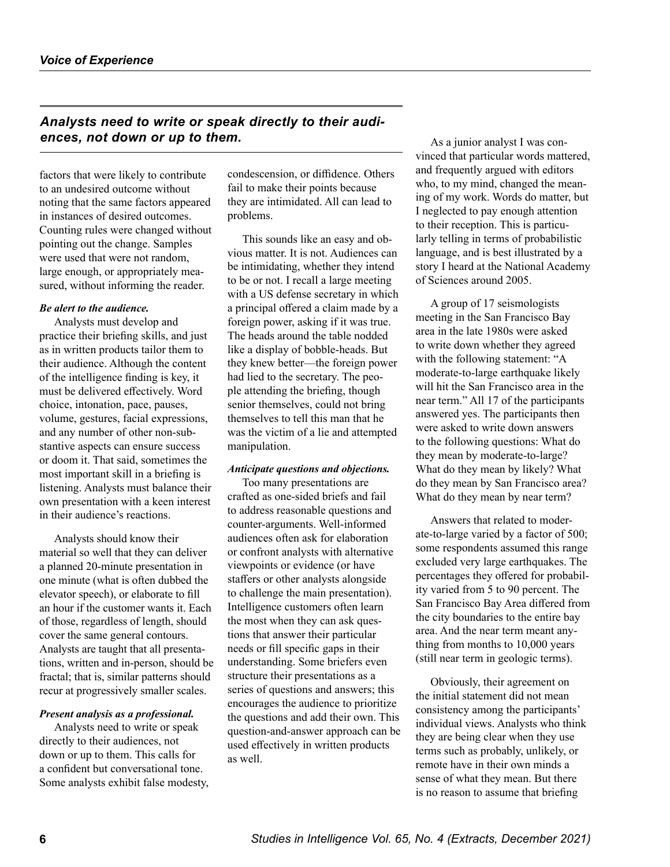# *Analysts need to write or speak directly to their audiences, not down or up to them.*

factors that were likely to contribute to an undesired outcome without noting that the same factors appeared in instances of desired outcomes. Counting rules were changed without pointing out the change. Samples were used that were not random, large enough, or appropriately measured, without informing the reader.

#### *Be alert to the audience.*

Analysts must develop and practice their briefing skills, and just as in written products tailor them to their audience. Although the content of the intelligence finding is key, it must be delivered effectively. Word choice, intonation, pace, pauses, volume, gestures, facial expressions, and any number of other non-substantive aspects can ensure success or doom it. That said, sometimes the most important skill in a briefing is listening. Analysts must balance their own presentation with a keen interest in their audience's reactions.

Analysts should know their material so well that they can deliver a planned 20-minute presentation in one minute (what is often dubbed the elevator speech), or elaborate to fill an hour if the customer wants it. Each of those, regardless of length, should cover the same general contours. Analysts are taught that all presentations, written and in-person, should be fractal; that is, similar patterns should recur at progressively smaller scales.

#### *Present analysis as a professional.*

Analysts need to write or speak directly to their audiences, not down or up to them. This calls for a confident but conversational tone. Some analysts exhibit false modesty, condescension, or diffidence. Others fail to make their points because they are intimidated. All can lead to problems.

This sounds like an easy and obvious matter. It is not. Audiences can be intimidating, whether they intend to be or not. I recall a large meeting with a US defense secretary in which a principal offered a claim made by a foreign power, asking if it was true. The heads around the table nodded like a display of bobble-heads. But they knew better—the foreign power had lied to the secretary. The people attending the briefing, though senior themselves, could not bring themselves to tell this man that he was the victim of a lie and attempted manipulation.

### *Anticipate questions and objections.*

Too many presentations are crafted as one-sided briefs and fail to address reasonable questions and counter-arguments. Well-informed audiences often ask for elaboration or confront analysts with alternative viewpoints or evidence (or have staffers or other analysts alongside to challenge the main presentation). Intelligence customers often learn the most when they can ask questions that answer their particular needs or fill specific gaps in their understanding. Some briefers even structure their presentations as a series of questions and answers; this encourages the audience to prioritize the questions and add their own. This question-and-answer approach can be used effectively in written products as well.

As a junior analyst I was convinced that particular words mattered, and frequently argued with editors who, to my mind, changed the meaning of my work. Words do matter, but I neglected to pay enough attention to their reception. This is particularly telling in terms of probabilistic language, and is best illustrated by a story I heard at the National Academy of Sciences around 2005.

A group of 17 seismologists meeting in the San Francisco Bay area in the late 1980s were asked to write down whether they agreed with the following statement: "A moderate-to-large earthquake likely will hit the San Francisco area in the near term." All 17 of the participants answered yes. The participants then were asked to write down answers to the following questions: What do they mean by moderate-to-large? What do they mean by likely? What do they mean by San Francisco area? What do they mean by near term?

Answers that related to moderate-to-large varied by a factor of 500; some respondents assumed this range excluded very large earthquakes. The percentages they offered for probability varied from 5 to 90 percent. The San Francisco Bay Area differed from the city boundaries to the entire bay area. And the near term meant anything from months to 10,000 years (still near term in geologic terms).

Obviously, their agreement on the initial statement did not mean consistency among the participants' individual views. Analysts who think they are being clear when they use terms such as probably, unlikely, or remote have in their own minds a sense of what they mean. But there is no reason to assume that briefing